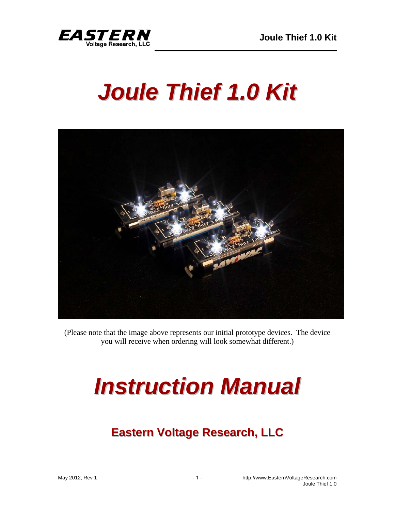

# *Joule Thief 1.0 Kit*



(Please note that the image above represents our initial prototype devices. The device you will receive when ordering will look somewhat different.)

# *Instruction Manual*

# **Eastern Voltage Research, LLC**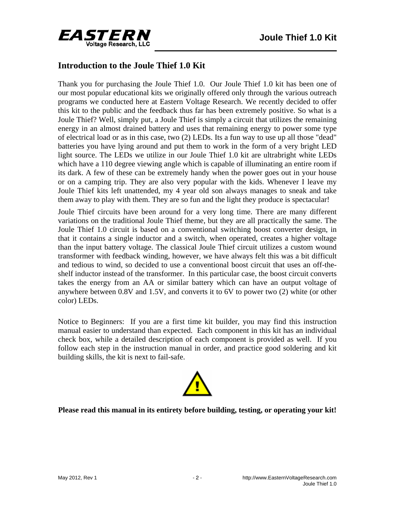



### **Introduction to the Joule Thief 1.0 Kit**

Thank you for purchasing the Joule Thief 1.0. Our Joule Thief 1.0 kit has been one of our most popular educational kits we originally offered only through the various outreach programs we conducted here at Eastern Voltage Research. We recently decided to offer this kit to the public and the feedback thus far has been extremely positive. So what is a Joule Thief? Well, simply put, a Joule Thief is simply a circuit that utilizes the remaining energy in an almost drained battery and uses that remaining energy to power some type of electrical load or as in this case, two (2) LEDs. Its a fun way to use up all those "dead" batteries you have lying around and put them to work in the form of a very bright LED light source. The LEDs we utilize in our Joule Thief 1.0 kit are ultrabright white LEDs which have a 110 degree viewing angle which is capable of illuminating an entire room if its dark. A few of these can be extremely handy when the power goes out in your house or on a camping trip. They are also very popular with the kids. Whenever I leave my Joule Thief kits left unattended, my 4 year old son always manages to sneak and take them away to play with them. They are so fun and the light they produce is spectacular!

Joule Thief circuits have been around for a very long time. There are many different variations on the traditional Joule Thief theme, but they are all practically the same. The Joule Thief 1.0 circuit is based on a conventional switching boost converter design, in that it contains a single inductor and a switch, when operated, creates a higher voltage than the input battery voltage. The classical Joule Thief circuit utilizes a custom wound transformer with feedback winding, however, we have always felt this was a bit difficult and tedious to wind, so decided to use a conventional boost circuit that uses an off-theshelf inductor instead of the transformer. In this particular case, the boost circuit converts takes the energy from an AA or similar battery which can have an output voltage of anywhere between 0.8V and 1.5V, and converts it to 6V to power two (2) white (or other color) LEDs.

Notice to Beginners: If you are a first time kit builder, you may find this instruction manual easier to understand than expected. Each component in this kit has an individual check box, while a detailed description of each component is provided as well. If you follow each step in the instruction manual in order, and practice good soldering and kit building skills, the kit is next to fail-safe.



#### **Please read this manual in its entirety before building, testing, or operating your kit!**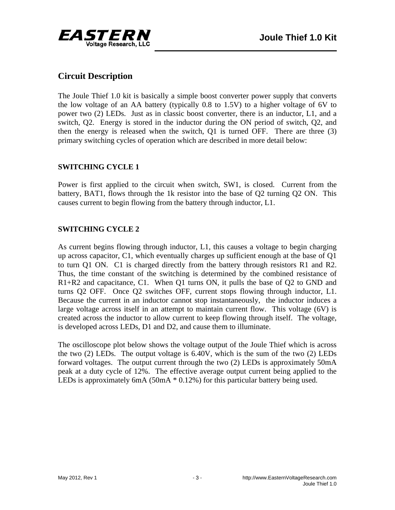

## **Circuit Description**

The Joule Thief 1.0 kit is basically a simple boost converter power supply that converts the low voltage of an AA battery (typically 0.8 to 1.5V) to a higher voltage of 6V to power two (2) LEDs. Just as in classic boost converter, there is an inductor, L1, and a switch, Q2. Energy is stored in the inductor during the ON period of switch, Q2, and then the energy is released when the switch, Q1 is turned OFF. There are three (3) primary switching cycles of operation which are described in more detail below:

#### **SWITCHING CYCLE 1**

Power is first applied to the circuit when switch, SW1, is closed. Current from the battery, BAT1, flows through the 1k resistor into the base of Q2 turning Q2 ON. This causes current to begin flowing from the battery through inductor, L1.

#### **SWITCHING CYCLE 2**

As current begins flowing through inductor, L1, this causes a voltage to begin charging up across capacitor, C1, which eventually charges up sufficient enough at the base of Q1 to turn Q1 ON. C1 is charged directly from the battery through resistors R1 and R2. Thus, the time constant of the switching is determined by the combined resistance of R1+R2 and capacitance, C1. When Q1 turns ON, it pulls the base of Q2 to GND and turns Q2 OFF. Once Q2 switches OFF, current stops flowing through inductor, L1. Because the current in an inductor cannot stop instantaneously, the inductor induces a large voltage across itself in an attempt to maintain current flow. This voltage (6V) is created across the inductor to allow current to keep flowing through itself. The voltage, is developed across LEDs, D1 and D2, and cause them to illuminate.

The oscilloscope plot below shows the voltage output of the Joule Thief which is across the two (2) LEDs. The output voltage is 6.40V, which is the sum of the two (2) LEDs forward voltages. The output current through the two (2) LEDs is approximately 50mA peak at a duty cycle of 12%. The effective average output current being applied to the LEDs is approximately 6mA (50mA \* 0.12%) for this particular battery being used.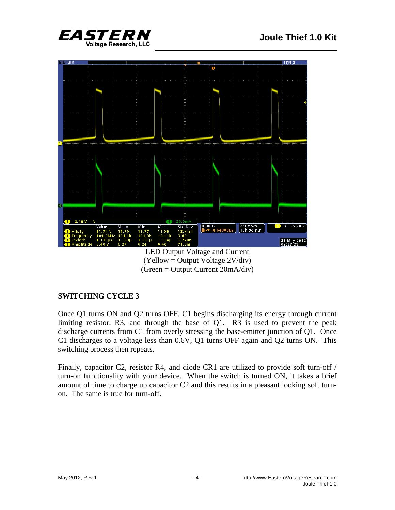



LED Output Voltage and Current (Yellow = Output Voltage 2V/div) (Green = Output Current 20mA/div)

#### **SWITCHING CYCLE 3**

Once Q1 turns ON and Q2 turns OFF, C1 begins discharging its energy through current limiting resistor, R3, and through the base of Q1. R3 is used to prevent the peak discharge currents from C1 from overly stressing the base-emitter junction of Q1. Once C1 discharges to a voltage less than 0.6V, Q1 turns OFF again and Q2 turns ON. This switching process then repeats.

Finally, capacitor C2, resistor R4, and diode CR1 are utilized to provide soft turn-off / turn-on functionality with your device. When the switch is turned ON, it takes a brief amount of time to charge up capacitor C2 and this results in a pleasant looking soft turnon. The same is true for turn-off.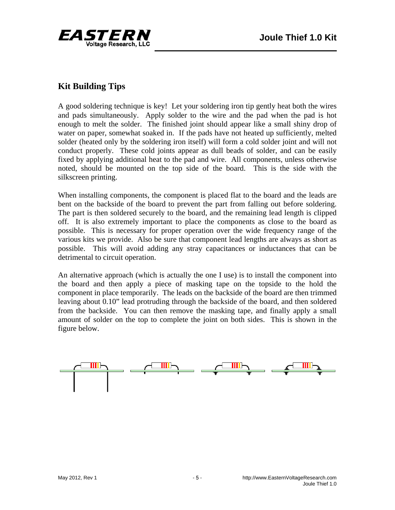

# **Kit Building Tips**

A good soldering technique is key! Let your soldering iron tip gently heat both the wires and pads simultaneously. Apply solder to the wire and the pad when the pad is hot enough to melt the solder. The finished joint should appear like a small shiny drop of water on paper, somewhat soaked in. If the pads have not heated up sufficiently, melted solder (heated only by the soldering iron itself) will form a cold solder joint and will not conduct properly. These cold joints appear as dull beads of solder, and can be easily fixed by applying additional heat to the pad and wire. All components, unless otherwise noted, should be mounted on the top side of the board. This is the side with the silkscreen printing.

When installing components, the component is placed flat to the board and the leads are bent on the backside of the board to prevent the part from falling out before soldering. The part is then soldered securely to the board, and the remaining lead length is clipped off. It is also extremely important to place the components as close to the board as possible. This is necessary for proper operation over the wide frequency range of the various kits we provide. Also be sure that component lead lengths are always as short as possible. This will avoid adding any stray capacitances or inductances that can be detrimental to circuit operation.

An alternative approach (which is actually the one I use) is to install the component into the board and then apply a piece of masking tape on the topside to the hold the component in place temporarily. The leads on the backside of the board are then trimmed leaving about 0.10" lead protruding through the backside of the board, and then soldered from the backside. You can then remove the masking tape, and finally apply a small amount of solder on the top to complete the joint on both sides. This is shown in the figure below.

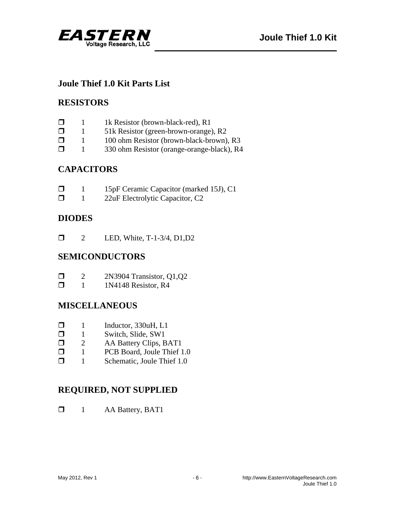



### **Joule Thief 1.0 Kit Parts List**

#### **RESISTORS**

| 1k Resistor (brown-black-red), R1 |
|-----------------------------------|
|                                   |

- □ 1 51k Resistor (green-brown-orange), R2
- $\Box$  1 100 ohm Resistor (brown-black-brown), R3
- 1 330 ohm Resistor (orange-orange-black), R4

# **CAPACITORS**

| $\Box$ | 15pF Ceramic Capacitor (marked 15J), C1 |
|--------|-----------------------------------------|
| $\Box$ | 22uF Electrolytic Capacitor, C2         |

# **DIODES**

**12** LED, White, T-1-3/4, D1, D2

# **SEMICONDUCTORS**

| $\Box$ |  | 2N3904 Transistor, Q1,Q2 |  |
|--------|--|--------------------------|--|
|--------|--|--------------------------|--|

 $\Box$  1 1N4148 Resistor, R4

# **MISCELLANEOUS**

- $\Box$  1 Inductor, 330uH, L1<br> $\Box$  1 Switch Slide SW1
- 1 Switch, Slide, SW1
- **D** 2 AA Battery Clips, BAT1
- $\Box$  1 PCB Board, Joule Thief 1.0
- 1 Schematic, Joule Thief 1.0

# **REQUIRED, NOT SUPPLIED**

 $\Box$  1 AA Battery, BAT1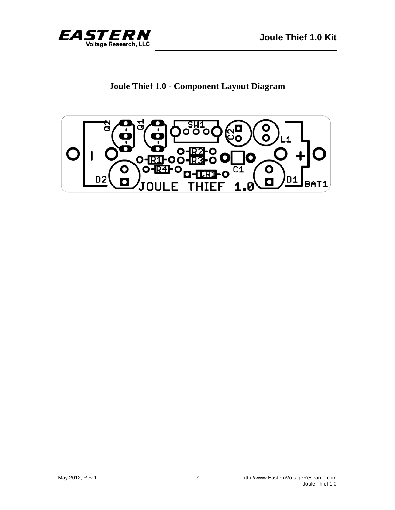

# **Joule Thief 1.0 - Component Layout Diagram**

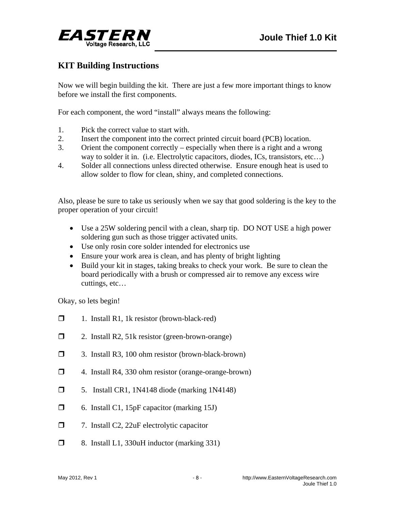

# **KIT Building Instructions**

Now we will begin building the kit. There are just a few more important things to know before we install the first components.

For each component, the word "install" always means the following:

- 1. Pick the correct value to start with.
- 2. Insert the component into the correct printed circuit board (PCB) location.
- 3. Orient the component correctly especially when there is a right and a wrong way to solder it in. (i.e. Electrolytic capacitors, diodes, ICs, transistors, etc...)
- 4. Solder all connections unless directed otherwise. Ensure enough heat is used to allow solder to flow for clean, shiny, and completed connections.

Also, please be sure to take us seriously when we say that good soldering is the key to the proper operation of your circuit!

- Use a 25W soldering pencil with a clean, sharp tip. DO NOT USE a high power soldering gun such as those trigger activated units.
- Use only rosin core solder intended for electronics use
- Ensure your work area is clean, and has plenty of bright lighting
- Build your kit in stages, taking breaks to check your work. Be sure to clean the board periodically with a brush or compressed air to remove any excess wire cuttings, etc…

Okay, so lets begin!

- $\Box$  1. Install R1, 1k resistor (brown-black-red)
- □ 2. Install R2, 51k resistor (green-brown-orange)
- 3. Install R3, 100 ohm resistor (brown-black-brown)
- 4. Install R4, 330 ohm resistor (orange-orange-brown)
- $\Box$  5. Install CR1, 1N4148 diode (marking 1N4148)
- 6. Install C1, 15pF capacitor (marking 15J)
- □ 7. Install C2, 22uF electrolytic capacitor
- $\Box$  8. Install L1, 330uH inductor (marking 331)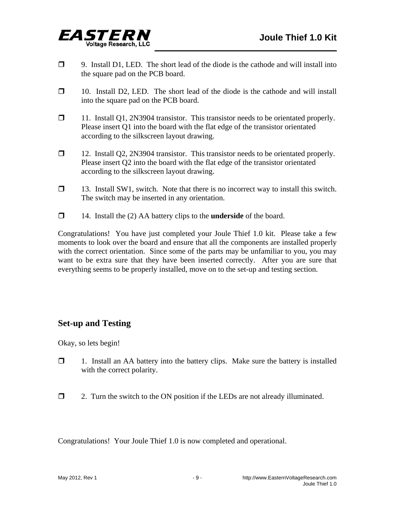

- $\Box$  9. Install D1, LED. The short lead of the diode is the cathode and will install into the square pad on the PCB board.
- $\Box$  10. Install D2, LED. The short lead of the diode is the cathode and will install into the square pad on the PCB board.
- 11. Install Q1, 2N3904 transistor. This transistor needs to be orientated properly. Please insert Q1 into the board with the flat edge of the transistor orientated according to the silkscreen layout drawing.
- 12. Install Q2, 2N3904 transistor. This transistor needs to be orientated properly. Please insert Q2 into the board with the flat edge of the transistor orientated according to the silkscreen layout drawing.
- $\Box$  13. Install SW1, switch. Note that there is no incorrect way to install this switch. The switch may be inserted in any orientation.
- 14. Install the (2) AA battery clips to the **underside** of the board.

Congratulations! You have just completed your Joule Thief 1.0 kit. Please take a few moments to look over the board and ensure that all the components are installed properly with the correct orientation. Since some of the parts may be unfamiliar to you, you may want to be extra sure that they have been inserted correctly. After you are sure that everything seems to be properly installed, move on to the set-up and testing section.

# **Set-up and Testing**

Okay, so lets begin!

- 1. Install an AA battery into the battery clips. Make sure the battery is installed with the correct polarity.
- $\Box$  2. Turn the switch to the ON position if the LEDs are not already illuminated.

Congratulations! Your Joule Thief 1.0 is now completed and operational.